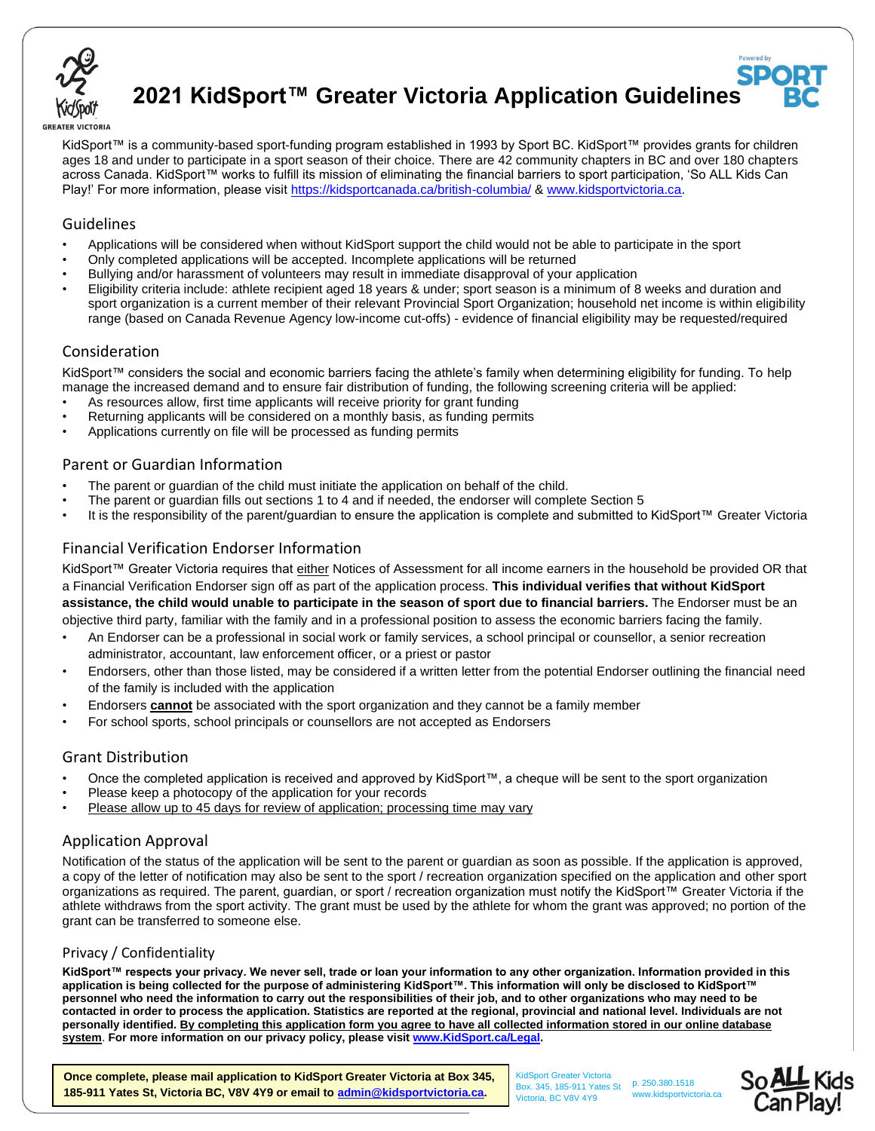

**2021 KidSport™ Greater Victoria Application Guidelines**

#### **GREATER VICTORIA**

KidSport™ is a community-based sport-funding program established in 1993 by Sport BC. KidSport™ provides grants for children ages 18 and under to participate in a sport season of their choice. There are 42 community chapters in BC and over 180 chapters across Canada. KidSport™ works to fulfill its mission of eliminating the financial barriers to sport participation, 'So ALL Kids Can Play!' For more information, please visi[t https://kidsportcanada.ca/british-columbia/](https://kidsportcanada.ca/british-columbia/) & [www.kidsportvictoria.ca.](http://www.kidsportvictoria.ca/)

## Guidelines

- Applications will be considered when without KidSport support the child would not be able to participate in the sport
- Only completed applications will be accepted. Incomplete applications will be returned
- Bullying and/or harassment of volunteers may result in immediate disapproval of your application
- Eligibility criteria include: athlete recipient aged 18 years & under; sport season is a minimum of 8 weeks and duration and sport organization is a current member of their relevant Provincial Sport Organization; household net income is within eligibility range (based on Canada Revenue Agency low-income cut-offs) - evidence of financial eligibility may be requested/required

#### Consideration

KidSport™ considers the social and economic barriers facing the athlete's family when determining eligibility for funding. To help manage the increased demand and to ensure fair distribution of funding, the following screening criteria will be applied:

- As resources allow, first time applicants will receive priority for grant funding
- Returning applicants will be considered on a monthly basis, as funding permits
- Applications currently on file will be processed as funding permits

# Parent or Guardian Information

- The parent or guardian of the child must initiate the application on behalf of the child.
- The parent or guardian fills out sections 1 to 4 and if needed, the endorser will complete Section 5
- It is the responsibility of the parent/guardian to ensure the application is complete and submitted to KidSport™ Greater Victoria

# Financial Verification Endorser Information

KidSport™ Greater Victoria requires that either Notices of Assessment for all income earners in the household be provided OR that a Financial Verification Endorser sign off as part of the application process. **This individual verifies that without KidSport assistance, the child would unable to participate in the season of sport due to financial barriers.** The Endorser must be an objective third party, familiar with the family and in a professional position to assess the economic barriers facing the family.

- An Endorser can be a professional in social work or family services, a school principal or counsellor, a senior recreation administrator, accountant, law enforcement officer, or a priest or pastor
- Endorsers, other than those listed, may be considered if a written letter from the potential Endorser outlining the financial need of the family is included with the application
- Endorsers **cannot** be associated with the sport organization and they cannot be a family member
- For school sports, school principals or counsellors are not accepted as Endorsers

## Grant Distribution

- Once the completed application is received and approved by KidSport™, a cheque will be sent to the sport organization
- Please keep a photocopy of the application for your records
- Please allow up to 45 days for review of application; processing time may vary

# Application Approval

Notification of the status of the application will be sent to the parent or guardian as soon as possible. If the application is approved, a copy of the letter of notification may also be sent to the sport / recreation organization specified on the application and other sport organizations as required. The parent, guardian, or sport / recreation organization must notify the KidSport™ Greater Victoria if the athlete withdraws from the sport activity. The grant must be used by the athlete for whom the grant was approved; no portion of the grant can be transferred to someone else.

## Privacy / Confidentiality

**KidSport™ respects your privacy. We never sell, trade or loan your information to any other organization. Information provided in this application is being collected for the purpose of administering KidSport™. This information will only be disclosed to KidSport™ personnel who need the information to carry out the responsibilities of their job, and to other organizations who may need to be contacted in order to process the application. Statistics are reported at the regional, provincial and national level. Individuals are not personally identified. By completing this application form you agree to have all collected information stored in our online database system**. **For more information on our privacy policy, please visit [www.KidSport.ca/Legal.](file:///C:/Users/Owner/ownCloud/KidSport/Application%20Forms/2016/Word/www.KidSport.ca/Legal)**

**Once complete, please mail application to KidSport Greater Victoria at Box 345, 185-911 Yates St, Victoria BC, V8V 4Y9 or email to [admin@kidsportvictoria.ca.](mailto:admin@kidsportvictoria.ca)** 

 KidSport Greater Victoria Box. 345, 185-911 Yates St Victoria, BC V8V 4Y9 p. 250.380.1518 www.kidsportvictoria.ca